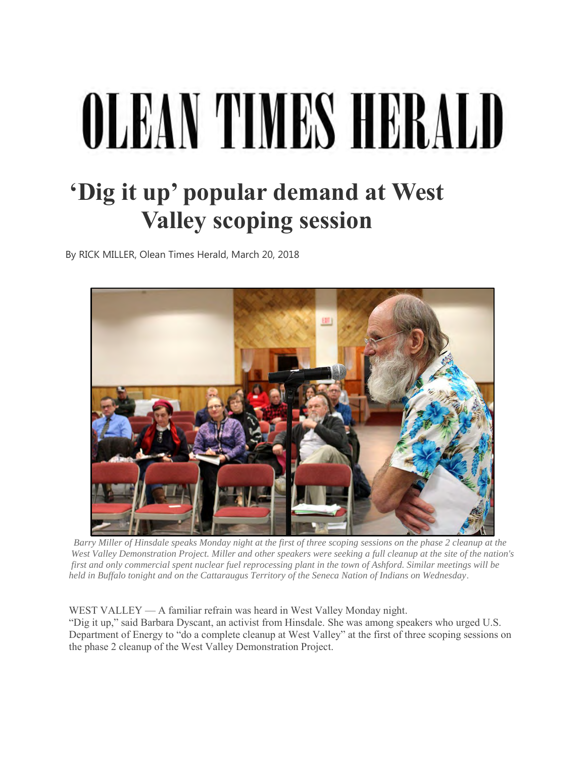## OLEAN TIMES HERAI

## **'Dig it up' popular demand at West Valley scoping session**

By RICK MILLER, Olean Times Herald, March 20, 2018



 *Barry Miller of Hinsdale speaks Monday night at the first of three scoping sessions on the phase 2 cleanup at the West Valley Demonstration Project. Miller and other speakers were seeking a full cleanup at the site of the nation's first and only commercial spent nuclear fuel reprocessing plant in the town of Ashford. Similar meetings will be held in Buffalo tonight and on the Cattaraugus Territory of the Seneca Nation of Indians on Wednesday*.

WEST VALLEY — A familiar refrain was heard in West Valley Monday night.

"Dig it up," said Barbara Dyscant, an activist from Hinsdale. She was among speakers who urged U.S. Department of Energy to "do a complete cleanup at West Valley" at the first of three scoping sessions on the phase 2 cleanup of the West Valley Demonstration Project.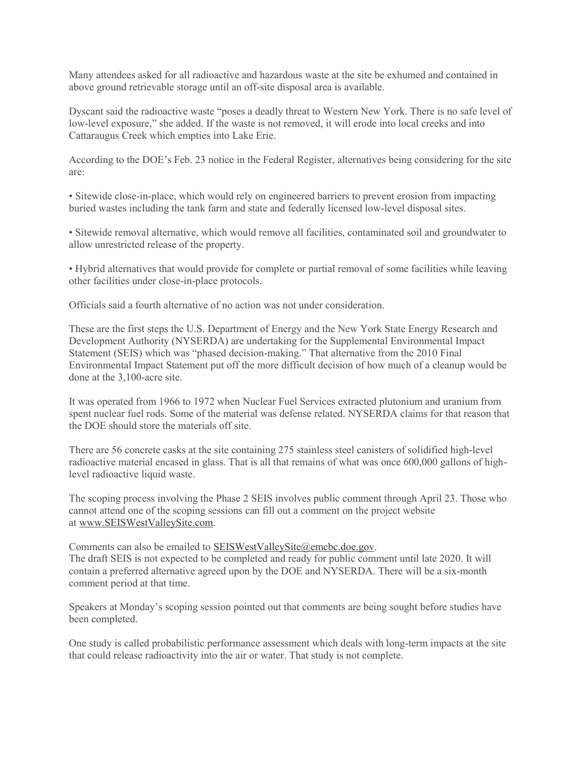Many attendees asked for all radioactive and hazardous waste at the site be exhumed and contained in above ground retrievable storage until an off-site disposal area is available.

Dyscant said the radioactive waste "poses a deadly threat to Western New York. There is no safe level of low-level exposure," she added. If the waste is not removed, it will erode into local creeks and into Cattaraugus Creek which empties into Lake Erie.

According to the DOE's Feb. 23 notice in the Federal Register, alternatives being considering for the site are:

• Sitewide close-in-place, which would rely on engineered barriers to prevent erosion from impacting buried wastes including the tank farm and state and federally licensed low-level disposal sites.

• Sitewide removal alternative, which would remove all facilities, contaminated soil and groundwater to allow unrestricted release of the property.

• Hybrid alternatives that would provide for complete or partial removal of some facilities while leaving other facilities under close-in-place protocols.

Officials said a fourth alternative of no action was not under consideration.

These are the first steps the U.S. Department of Energy and the New York State Energy Research and Development Authority (NYSERDA) are undertaking for the Supplemental Environmental Impact Statement (SEIS) which was "phased decision-making." That alternative from the 2010 Final Environmental Impact Statement put off the more difficult decision of how much of a cleanup would be done at the 3,100-acre site.

It was operated from 1966 to 1972 when Nuclear Fuel Services extracted plutonium and uranium from spent nuclear fuel rods. Some of the material was defense related. NYSERDA claims for that reason that the DOE should store the materials off site.

There are 56 concrete casks at the site containing 275 stainless steel canisters of solidified high-level radioactive material encased in glass. That is all that remains of what was once 600,000 gallons of highlevel radioactive liquid waste.

The scoping process involving the Phase 2 SEIS involves public comment through April 23. Those who cannot attend one of the scoping sessions can fill out a comment on the project website at [www.SEISWestValleySite.com.](http://www.seiswestvalleysite.com/)

Comments can also be emailed to [SEISWestValleySite@emcbc.doe.gov.](mailto:SEISWestValleySite@emcbc.doe.gov) The draft SEIS is not expected to be completed and ready for public comment until late 2020. It will contain a preferred alternative agreed upon by the DOE and NYSERDA. There will be a six-month comment period at that time.

Speakers at Monday's scoping session pointed out that comments are being sought before studies have been completed.

One study is called probabilistic performance assessment which deals with long-term impacts at the site that could release radioactivity into the air or water. That study is not complete.